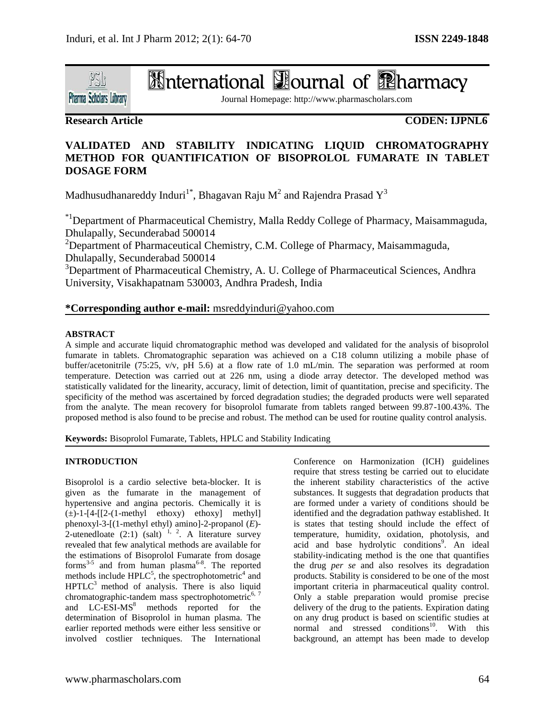

# **International Dournal of Pharmacy**

Journal Homepage: http://www.pharmascholars.com

# **Research Article**

# **CODEN: IJPNL6**

# **VALIDATED AND STABILITY INDICATING LIQUID CHROMATOGRAPHY METHOD FOR QUANTIFICATION OF BISOPROLOL FUMARATE IN TABLET DOSAGE FORM**

Madhusudhanareddy Induri $^{1^{\ast}}$ , Bhagavan Raju M $^{2}$  and Rajendra Prasad  $\text{Y}^{3}$ 

\*1Department of Pharmaceutical Chemistry, Malla Reddy College of Pharmacy, Maisammaguda, Dhulapally, Secunderabad 500014

<sup>2</sup>Department of Pharmaceutical Chemistry, C.M. College of Pharmacy, Maisammaguda, Dhulapally, Secunderabad 500014

<sup>3</sup>Department of Pharmaceutical Chemistry, A. U. College of Pharmaceutical Sciences, Andhra University, Visakhapatnam 530003, Andhra Pradesh, India

## **\*Corresponding author e-mail:** msreddyinduri@yahoo.com

### **ABSTRACT**

A simple and accurate liquid chromatographic method was developed and validated for the analysis of bisoprolol fumarate in tablets. Chromatographic separation was achieved on a C18 column utilizing a mobile phase of buffer/acetonitrile (75:25, v/v, pH 5.6) at a flow rate of 1.0 mL/min. The separation was performed at room temperature. Detection was carried out at 226 nm, using a diode array detector. The developed method was statistically validated for the linearity, accuracy, limit of detection, limit of quantitation, precise and specificity. The specificity of the method was ascertained by forced degradation studies; the degraded products were well separated from the analyte. The mean recovery for bisoprolol fumarate from tablets ranged between 99.87-100.43%. The proposed method is also found to be precise and robust. The method can be used for routine quality control analysis.

**Keywords:** Bisoprolol Fumarate, Tablets, HPLC and Stability Indicating

### **INTRODUCTION**

Bisoprolol is a cardio selective beta-blocker. It is given as the fumarate in the management of hypertensive and angina pectoris. Chemically it is  $(\pm)$ -1-[4-[[2-(1-methyl ethoxy) ethoxy] methyl] phenoxyl-3-[(1-methyl ethyl) amino]-2-propanol (*E*)- 2-utenedloate  $(2.1)$  (salt)  $^{1, 2}$ . A literature survey revealed that few analytical methods are available for the estimations of Bisoprolol Fumarate from dosage forms<sup>3-5</sup> and from human plasma<sup>6-8</sup>. The reported methods include  $HPLC^5$ , the spectrophotometric<sup>4</sup> and  $HPTLC<sup>3</sup>$  method of analysis. There is also liquid chromatographic-tandem mass spectrophotometric<sup>6, 7</sup> and LC-ESI-MS<sup>8</sup> methods reported for the determination of Bisoprolol in human plasma. The earlier reported methods were either less sensitive or involved costlier techniques. The International

Conference on Harmonization (ICH) guidelines require that stress testing be carried out to elucidate the inherent stability characteristics of the active substances. It suggests that degradation products that are formed under a variety of conditions should be identified and the degradation pathway established. It is states that testing should include the effect of temperature, humidity, oxidation, photolysis, and acid and base hydrolytic conditions<sup>9</sup>. An ideal stability-indicating method is the one that quantifies the drug *per se* and also resolves its degradation products. Stability is considered to be one of the most important criteria in pharmaceutical quality control. Only a stable preparation would promise precise delivery of the drug to the patients. Expiration dating on any drug product is based on scientific studies at normal and stressed conditions<sup>10</sup>. With this background, an attempt has been made to develop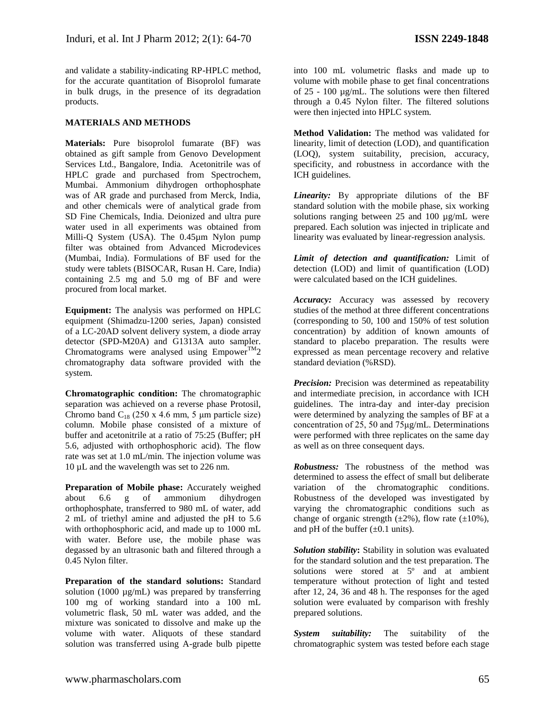and validate a stability-indicating RP-HPLC method, for the accurate quantitation of Bisoprolol fumarate in bulk drugs, in the presence of its degradation products.

#### **MATERIALS AND METHODS**

**Materials:** Pure bisoprolol fumarate (BF) was obtained as gift sample from Genovo Development Services Ltd., Bangalore, India. Acetonitrile was of HPLC grade and purchased from Spectrochem, Mumbai. Ammonium dihydrogen orthophosphate was of AR grade and purchased from Merck, India, and other chemicals were of analytical grade from SD Fine Chemicals, India. Deionized and ultra pure water used in all experiments was obtained from Milli-Q System (USA). The 0.45µm Nylon pump filter was obtained from Advanced Microdevices (Mumbai, India). Formulations of BF used for the study were tablets (BISOCAR, Rusan H. Care, India) containing 2.5 mg and 5.0 mg of BF and were procured from local market.

**Equipment:** The analysis was performed on HPLC equipment (Shimadzu-1200 series, Japan) consisted of a LC-20AD solvent delivery system, a diode array detector (SPD-M20A) and G1313A auto sampler. Chromatograms were analysed using Empower<sup>TM</sup>2 chromatography data software provided with the system.

**Chromatographic condition:** The chromatographic separation was achieved on a reverse phase Protosil, Chromo band  $C_{18}$  (250 x 4.6 mm, 5 µm particle size) column. Mobile phase consisted of a mixture of buffer and acetonitrile at a ratio of 75:25 (Buffer; pH 5.6, adjusted with orthophosphoric acid). The flow rate was set at 1.0 mL/min. The injection volume was 10 µL and the wavelength was set to 226 nm.

**Preparation of Mobile phase:** Accurately weighed about 6.6 g of ammonium dihydrogen orthophosphate, transferred to 980 mL of water, add 2 mL of triethyl amine and adjusted the pH to 5.6 with orthophosphoric acid, and made up to 1000 mL with water. Before use, the mobile phase was degassed by an ultrasonic bath and filtered through a 0.45 Nylon filter.

**Preparation of the standard solutions:** Standard solution (1000 µg/mL) was prepared by transferring 100 mg of working standard into a 100 mL volumetric flask, 50 mL water was added, and the mixture was sonicated to dissolve and make up the volume with water. Aliquots of these standard solution was transferred using A-grade bulb pipette

into 100 mL volumetric flasks and made up to volume with mobile phase to get final concentrations of 25 - 100 µg/mL. The solutions were then filtered through a 0.45 Nylon filter. The filtered solutions were then injected into HPLC system.

**Method Validation:** The method was validated for linearity, limit of detection (LOD), and quantification (LOQ), system suitability, precision, accuracy, specificity, and robustness in accordance with the ICH guidelines.

*Linearity:* By appropriate dilutions of the BF standard solution with the mobile phase, six working solutions ranging between 25 and 100 µg/mL were prepared. Each solution was injected in triplicate and linearity was evaluated by linear-regression analysis.

*Limit of detection and quantification:* Limit of detection (LOD) and limit of quantification (LOD) were calculated based on the ICH guidelines.

*Accuracy:* Accuracy was assessed by recovery studies of the method at three different concentrations (corresponding to 50, 100 and 150% of test solution concentration) by addition of known amounts of standard to placebo preparation. The results were expressed as mean percentage recovery and relative standard deviation (%RSD).

*Precision:* Precision was determined as repeatability and intermediate precision, in accordance with ICH guidelines. The intra-day and inter-day precision were determined by analyzing the samples of BF at a concentration of 25, 50 and 75μg/mL. Determinations were performed with three replicates on the same day as well as on three consequent days.

*Robustness:* The robustness of the method was determined to assess the effect of small but deliberate variation of the chromatographic conditions. Robustness of the developed was investigated by varying the chromatographic conditions such as change of organic strength  $(\pm 2\%)$ , flow rate  $(\pm 10\%)$ , and pH of the buffer  $(\pm 0.1 \text{ units})$ .

*Solution stability***:** Stability in solution was evaluated for the standard solution and the test preparation. The solutions were stored at 5<sup>°</sup> and at ambient temperature without protection of light and tested after 12, 24, 36 and 48 h. The responses for the aged solution were evaluated by comparison with freshly prepared solutions.

*System suitability:* The suitability of the chromatographic system was tested before each stage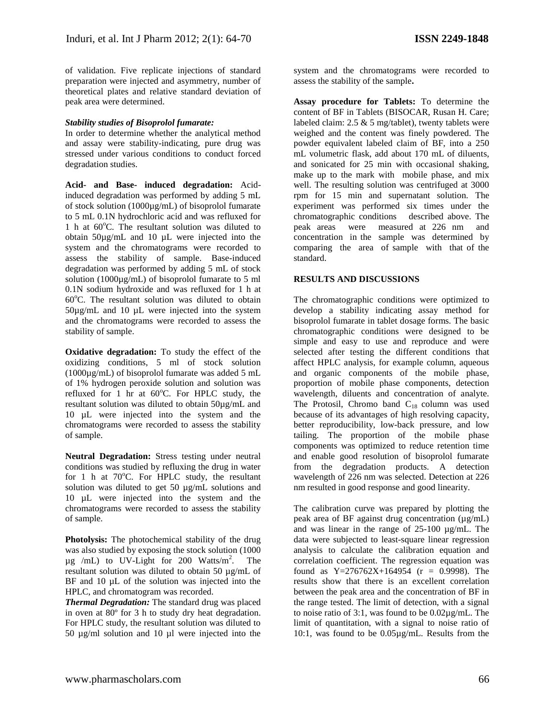of validation. Five replicate injections of standard preparation were injected and asymmetry, number of theoretical plates and relative standard deviation of peak area were determined.

#### *Stability studies of Bisoprolol fumarate:*

In order to determine whether the analytical method and assay were stability-indicating, pure drug was stressed under various conditions to conduct forced degradation studies.

**Acid- and Base- induced degradation:** Acidinduced degradation was performed by adding 5 mL of stock solution (1000µg/mL) of bisoprolol fumarate to 5 mL 0.1N hydrochloric acid and was refluxed for 1 h at  $60^{\circ}$ C. The resultant solution was diluted to obtain 50µg/mL and 10 µL were injected into the system and the chromatograms were recorded to assess the stability of sample. Base-induced degradation was performed by adding 5 mL of stock solution (1000µg/mL) of bisoprolol fumarate to 5 ml 0.1N sodium hydroxide and was refluxed for 1 h at  $60^{\circ}$ C. The resultant solution was diluted to obtain 50µg/mL and 10 µL were injected into the system and the chromatograms were recorded to assess the stability of sample.

**Oxidative degradation:** To study the effect of the oxidizing conditions, 5 ml of stock solution (1000µg/mL) of bisoprolol fumarate was added 5 mL of 1% hydrogen peroxide solution and solution was refluxed for 1 hr at  $60^{\circ}$ C. For HPLC study, the resultant solution was diluted to obtain 50µg/mL and 10 µL were injected into the system and the chromatograms were recorded to assess the stability of sample.

**Neutral Degradation:** Stress testing under neutral conditions was studied by refluxing the drug in water for 1 h at  $70^{\circ}$ C. For HPLC study, the resultant solution was diluted to get 50 µg/mL solutions and 10 µL were injected into the system and the chromatograms were recorded to assess the stability of sample.

**Photolysis:** The photochemical stability of the drug was also studied by exposing the stock solution (1000  $\mu$ g /mL) to UV-Light for 200 Watts/m<sup>2</sup>. . The resultant solution was diluted to obtain 50 µg/mL of BF and 10  $\mu$ L of the solution was injected into the HPLC, and chromatogram was recorded.

*Thermal Degradation:* The standard drug was placed in oven at 80º for 3 h to study dry heat degradation. For HPLC study, the resultant solution was diluted to 50 µg/ml solution and 10 µl were injected into the system and the chromatograms were recorded to assess the stability of the sample**.**

**Assay procedure for Tablets:** To determine the content of BF in Tablets (BISOCAR, Rusan H. Care; labeled claim:  $2.5 \& 5$  mg/tablet), twenty tablets were weighed and the content was finely powdered. The powder equivalent labeled claim of BF, into a 250 mL volumetric flask, add about 170 mL of diluents, and sonicated for 25 min with occasional shaking, make up to the mark with mobile phase, and mix well. The resulting solution was centrifuged at 3000 rpm for 15 min and supernatant solution. The experiment was performed six times under the chromatographic conditions described above. The peak areas were measured at 226 nm and concentration in the sample was determined by comparing the area of sample with that of the standard.

### **RESULTS AND DISCUSSIONS**

The chromatographic conditions were optimized to develop a stability indicating assay method for bisoprolol fumarate in tablet dosage forms. The basic chromatographic conditions were designed to be simple and easy to use and reproduce and were selected after testing the different conditions that affect HPLC analysis, for example column, aqueous and organic components of the mobile phase, proportion of mobile phase components, detection wavelength, diluents and concentration of analyte. The Protosil, Chromo band  $C_{18}$  column was used because of its advantages of high resolving capacity, better reproducibility, low-back pressure, and low tailing. The proportion of the mobile phase components was optimized to reduce retention time and enable good resolution of bisoprolol fumarate from the degradation products. A detection wavelength of 226 nm was selected. Detection at 226 nm resulted in good response and good linearity.

The calibration curve was prepared by plotting the peak area of BF against drug concentration (µg/mL) and was linear in the range of 25-100 µg/mL. The data were subjected to least-square linear regression analysis to calculate the calibration equation and correlation coefficient. The regression equation was found as  $Y=276762X+164954$  (r = 0.9998). The results show that there is an excellent correlation between the peak area and the concentration of BF in the range tested. The limit of detection, with a signal to noise ratio of 3:1, was found to be 0.02µg/mL. The limit of quantitation, with a signal to noise ratio of 10:1, was found to be 0.05µg/mL. Results from the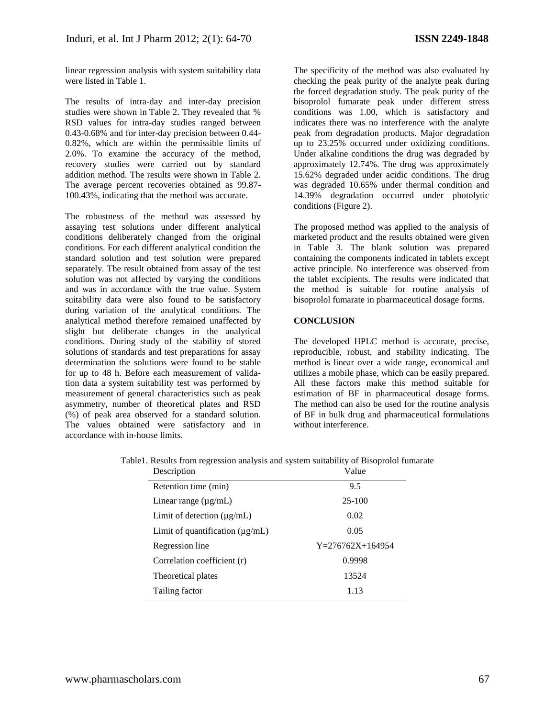linear regression analysis with system suitability data were listed in Table 1.

The results of intra-day and inter-day precision studies were shown in Table 2. They revealed that % RSD values for intra-day studies ranged between 0.43-0.68% and for inter-day precision between 0.44- 0.82%, which are within the permissible limits of 2.0%. To examine the accuracy of the method, recovery studies were carried out by standard addition method. The results were shown in Table 2. The average percent recoveries obtained as 99.87- 100.43%, indicating that the method was accurate.

The robustness of the method was assessed by assaying test solutions under different analytical conditions deliberately changed from the original conditions. For each different analytical condition the standard solution and test solution were prepared separately. The result obtained from assay of the test solution was not affected by varying the conditions and was in accordance with the true value. System suitability data were also found to be satisfactory during variation of the analytical conditions. The analytical method therefore remained unaffected by slight but deliberate changes in the analytical conditions. During study of the stability of stored solutions of standards and test preparations for assay determination the solutions were found to be stable for up to 48 h. Before each measurement of validation data a system suitability test was performed by measurement of general characteristics such as peak asymmetry, number of theoretical plates and RSD (%) of peak area observed for a standard solution. The values obtained were satisfactory and in accordance with in-house limits.

The specificity of the method was also evaluated by checking the peak purity of the analyte peak during the forced degradation study. The peak purity of the bisoprolol fumarate peak under different stress conditions was 1.00, which is satisfactory and indicates there was no interference with the analyte peak from degradation products. Major degradation up to 23.25% occurred under oxidizing conditions. Under alkaline conditions the drug was degraded by approximately 12.74%. The drug was approximately 15.62% degraded under acidic conditions. The drug was degraded 10.65% under thermal condition and 14.39% degradation occurred under photolytic conditions (Figure 2).

The proposed method was applied to the analysis of marketed product and the results obtained were given in Table 3. The blank solution was prepared containing the components indicated in tablets except active principle. No interference was observed from the tablet excipients. The results were indicated that the method is suitable for routine analysis of bisoprolol fumarate in pharmaceutical dosage forms.

#### **CONCLUSION**

The developed HPLC method is accurate, precise, reproducible, robust, and stability indicating. The method is linear over a wide range, economical and utilizes a mobile phase, which can be easily prepared. All these factors make this method suitable for estimation of BF in pharmaceutical dosage forms. The method can also be used for the routine analysis of BF in bulk drug and pharmaceutical formulations without interference.

| Value              |  |
|--------------------|--|
| 9.5                |  |
| $25-100$           |  |
| 0.02               |  |
| 0.05               |  |
| $Y=276762X+164954$ |  |
| 0.9998             |  |
| 13524              |  |
| 1.13               |  |
|                    |  |

Table1. Results from regression analysis and system suitability of Bisoprolol fumarate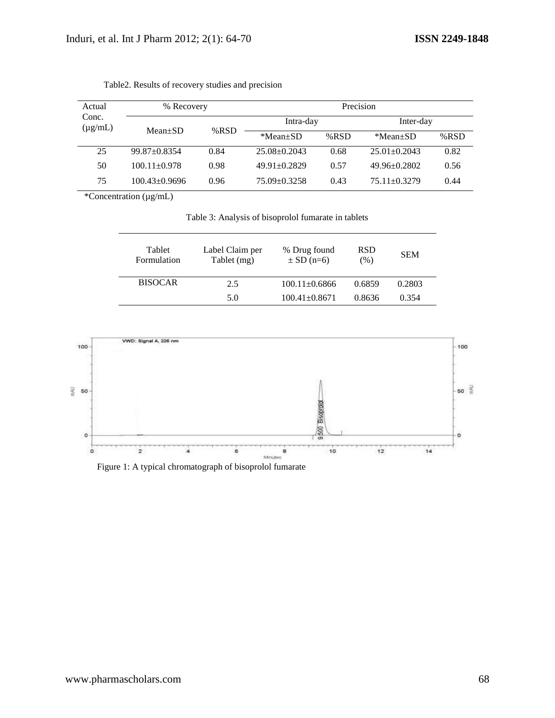| Actual<br>Conc.<br>$(\mu g/mL)$ | % Recovery          |         | Precision          |         |                    |         |
|---------------------------------|---------------------|---------|--------------------|---------|--------------------|---------|
|                                 |                     |         | Intra-day          |         | Inter-day          |         |
|                                 | $Mean \pm SD$       | % $RSD$ | $*Mean \pm SD$     | % $RSD$ | *Mean+SD           | % $RSD$ |
| 25                              | $99.87 \pm 0.8354$  | 0.84    | $25.08 + 0.2043$   | 0.68    | $25.01 + 0.2043$   | 0.82    |
| 50                              | $100.11 \pm 0.978$  | 0.98    | $49.91 + 0.2829$   | 0.57    | $49.96 + 0.2802$   | 0.56    |
| 75                              | $100.43 \pm 0.9696$ | 0.96    | $75.09 \pm 0.3258$ | 0.43    | $75.11 \pm 0.3279$ | 0.44    |

Table2. Results of recovery studies and precision

\*Concentration (µg/mL)

Table 3: Analysis of bisoprolol fumarate in tablets

| Tablet<br>Formulation | Label Claim per<br>Tablet (mg) | % Drug found<br>$\pm$ SD (n=6) | <b>RSD</b><br>$(\%)$ | <b>SEM</b> |
|-----------------------|--------------------------------|--------------------------------|----------------------|------------|
| <b>BISOCAR</b>        | 2.5                            | $100.11 + 0.6866$              | 0.6859               | 0.2803     |
|                       | 5.0                            | $100.41 \pm 0.8671$            | 0.8636               | 0.354      |



Figure 1: A typical chromatograph of bisoprolol fumarate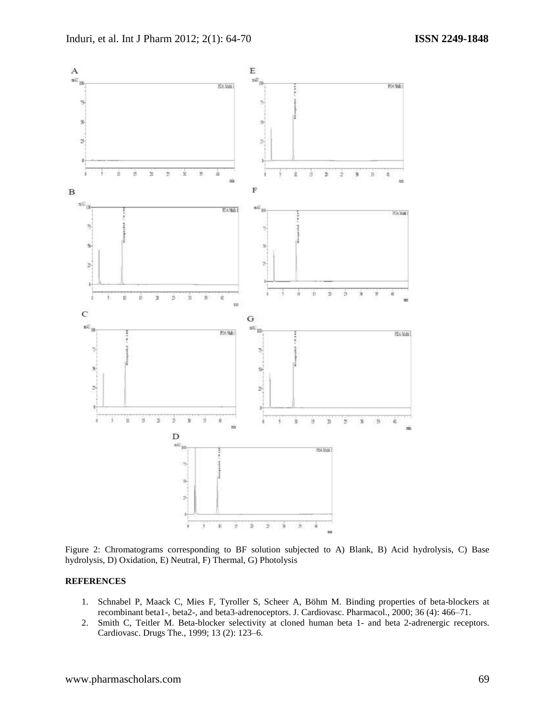

Figure 2: Chromatograms corresponding to BF solution subjected to A) Blank, B) Acid hydrolysis, C) Base hydrolysis, D) Oxidation, E) Neutral, F) Thermal, G) Photolysis

#### **REFERENCES**

- 1. Schnabel P, Maack C, Mies F, Tyroller S, Scheer A, Böhm M. [Binding properties of beta-blockers at](http://meta.wkhealth.com/pt/pt-core/template-journal/lwwgateway/media/landingpage.htm?issn=0160-2446&volume=36&issue=4&spage=466)  [recombinant beta1-, beta2-, and beta3-adrenoceptors.](http://meta.wkhealth.com/pt/pt-core/template-journal/lwwgateway/media/landingpage.htm?issn=0160-2446&volume=36&issue=4&spage=466) J. Cardiovasc. Pharmacol., 2000; 36 (4): 466–71.
- 2. Smith C, Teitler M. [Beta-blocker selectivity at cloned human beta 1-](http://www.kluweronline.com/art.pdf?issn=0920-3206&volume=13&page=123) and beta 2-adrenergic receptors. Cardiovasc. Drugs The., 1999; 13 (2): 123–6.